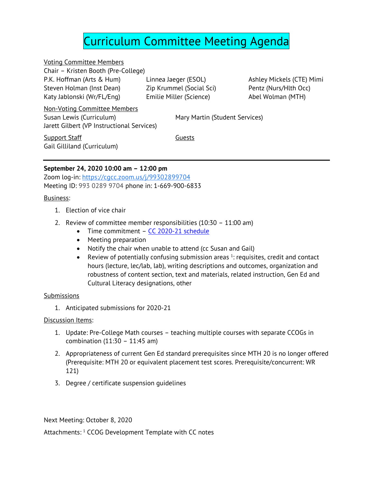# Curriculum Committee Meeting Agenda

Voting Committee Members Chair – Kristen Booth (Pre-College) P.K. Hoffman (Arts & Hum) Steven Holman (Inst Dean) Katy Jablonski (Wr/FL/Eng)

Linnea Jaeger (ESOL) Zip Krummel (Social Sci) Emilie Miller (Science)

Ashley Mickels (CTE) Mimi Pentz (Nurs/Hlth Occ) Abel Wolman (MTH)

Non-Voting Committee Members Susan Lewis (Curriculum) Mary Martin (Student Services) Jarett Gilbert (VP Instructional Services)

**Support Staff** Guests Gail Gilliland (Curriculum)

## **September 24, 2020 10:00 am – 12:00 pm**

Zoom log-in: [https://cgcc.zoom.us/j/99302899704](https://www.google.com/url?q=https://cgcc.zoom.us/j/99302899704&sa=D&source=calendar&ust=1601232354881000&usg=AOvVaw2DbcyI-yIjLXDl78T8fYD8) Meeting ID: 993 0289 9704 phone in: 1-669-900-6833

### Business:

- 1. Election of vice chair
- 2. Review of committee member responsibilities (10:30 11:00 am)
	- Time commitment  $CC$  2020-21 schedule
	- Meeting preparation
	- Notify the chair when unable to attend (cc Susan and Gail)
	- Review of potentially confusing submission areas  $1$ : requisites, credit and contact hours (lecture, lec/lab, lab), writing descriptions and outcomes, organization and robustness of content section, text and materials, related instruction, Gen Ed and Cultural Literacy designations, other

#### **Submissions**

1. Anticipated submissions for 2020-21

#### Discussion Items:

- 1. Update: Pre-College Math courses teaching multiple courses with separate CCOGs in combination (11:30 – 11:45 am)
- 2. Appropriateness of current Gen Ed standard prerequisites since MTH 20 is no longer offered (Prerequisite: MTH 20 or equivalent placement test scores. Prerequisite/concurrent: WR 121)
- 3. Degree / certificate suspension guidelines

Next Meeting: October 8, 2020

Attachments: <sup>1</sup> CCOG Development Template with CC notes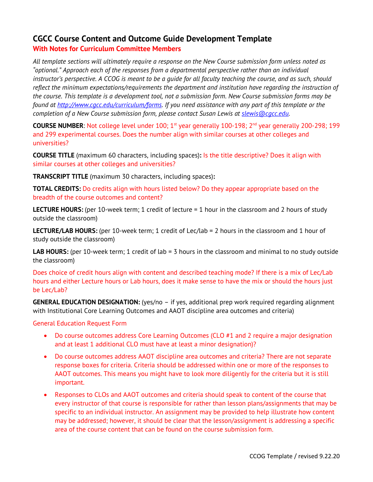# **CGCC Course Content and Outcome Guide Development Template With Notes for Curriculum Committee Members**

*All template sections will ultimately require a response on the New Course submission form unless noted as "optional." Approach each of the responses from a departmental perspective rather than an individual instructor's perspective. A CCOG is meant to be a guide for all faculty teaching the course, and as such, should reflect the minimum expectations/requirements the department and institution have regarding the instruction of the course. This template is a development tool, not a submission form. New Course submission forms may be found at [http://www.cgcc.edu/curriculum/forms.](http://www.cgcc.edu/curriculum/forms) If you need assistance with any part of this template or the completion of a New Course submission form, please contact Susan Lewis at [slewis@cgcc.edu.](mailto:slewis@cgcc.edu)* 

**COURSE NUMBER:** Not college level under 100; 1<sup>st</sup> year generally 100-198;  $2^{nd}$  year generally 200-298; 199 and 299 experimental courses. Does the number align with similar courses at other colleges and universities?

**COURSE TITLE** (maximum 60 characters, including spaces)**:** Is the title descriptive? Does it align with similar courses at other colleges and universities?

**TRANSCRIPT TITLE** (maximum 30 characters, including spaces)**:**

**TOTAL CREDITS:** Do credits align with hours listed below? Do they appear appropriate based on the breadth of the course outcomes and content?

**LECTURE HOURS:** (per 10-week term; 1 credit of lecture = 1 hour in the classroom and 2 hours of study outside the classroom)

**LECTURE/LAB HOURS:** (per 10-week term; 1 credit of Lec/lab = 2 hours in the classroom and 1 hour of study outside the classroom)

**LAB HOURS:** (per 10-week term; 1 credit of lab = 3 hours in the classroom and minimal to no study outside the classroom)

Does choice of credit hours align with content and described teaching mode? If there is a mix of Lec/Lab hours and either Lecture hours or Lab hours, does it make sense to have the mix or should the hours just be Lec/Lab?

**GENERAL EDUCATION DESIGNATION:** (yes/no – if yes, additional prep work required regarding alignment with Institutional Core Learning Outcomes and AAOT discipline area outcomes and criteria)

General Education Request Form

- Do course outcomes address Core Learning Outcomes (CLO #1 and 2 require a major designation and at least 1 additional CLO must have at least a minor designation)?
- Do course outcomes address AAOT discipline area outcomes and criteria? There are not separate response boxes for criteria. Criteria should be addressed within one or more of the responses to AAOT outcomes. This means you might have to look more diligently for the criteria but it is still important.
- Responses to CLOs and AAOT outcomes and criteria should speak to content of the course that every instructor of that course is responsible for rather than lesson plans/assignments that may be specific to an individual instructor. An assignment may be provided to help illustrate how content may be addressed; however, it should be clear that the lesson/assignment is addressing a specific area of the course content that can be found on the course submission form.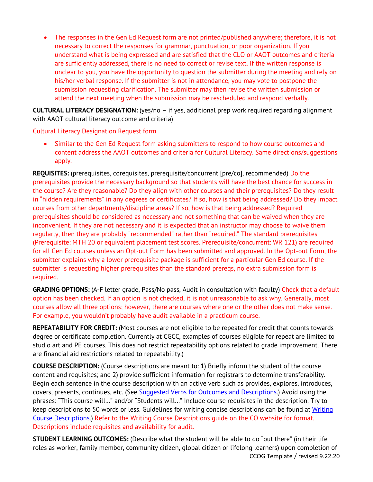The responses in the Gen Ed Request form are not printed/published anywhere; therefore, it is not necessary to correct the responses for grammar, punctuation, or poor organization. If you understand what is being expressed and are satisfied that the CLO or AAOT outcomes and criteria are sufficiently addressed, there is no need to correct or revise text. If the written response is unclear to you, you have the opportunity to question the submitter during the meeting and rely on his/her verbal response. If the submitter is not in attendance, you may vote to postpone the submission requesting clarification. The submitter may then revise the written submission or attend the next meeting when the submission may be rescheduled and respond verbally.

**CULTURAL LITERACY DESIGNATION:** (yes/no – if yes, additional prep work required regarding alignment with AAOT cultural literacy outcome and criteria)

Cultural Literacy Designation Request form

• Similar to the Gen Ed Request form asking submitters to respond to how course outcomes and content address the AAOT outcomes and criteria for Cultural Literacy. Same directions/suggestions apply.

**REQUISITES:** (prerequisites, corequisites, prerequisite/concurrent [pre/co], recommended) Do the prerequisites provide the necessary background so that students will have the best chance for success in the course? Are they reasonable? Do they align with other courses and their prerequisites? Do they result in "hidden requirements" in any degrees or certificates? If so, how is that being addressed? Do they impact courses from other departments/discipline areas? If so, how is that being addressed? Required prerequisites should be considered as necessary and not something that can be waived when they are inconvenient. If they are not necessary and it is expected that an instructor may choose to waive them regularly, then they are probably "recommended" rather than "required." The standard prerequisites (Prerequisite: MTH 20 or equivalent placement test scores. Prerequisite/concurrent: WR 121) are required for all Gen Ed courses unless an Opt-out Form has been submitted and approved. In the Opt-out Form, the submitter explains why a lower prerequisite package is sufficient for a particular Gen Ed course. If the submitter is requesting higher prerequisites than the standard prereqs, no extra submission form is required.

**GRADING OPTIONS:** (A-F letter grade, Pass/No pass, Audit in consultation with faculty) Check that a default option has been checked. If an option is not checked, it is not unreasonable to ask why. Generally, most courses allow all three options; however, there are courses where one or the other does not make sense. For example, you wouldn't probably have audit available in a practicum course.

**REPEATABILITY FOR CREDIT:** (Most courses are not eligible to be repeated for credit that counts towards degree or certificate completion. Currently at CGCC, examples of courses eligible for repeat are limited to studio art and PE courses. This does not restrict repeatability options related to grade improvement. There are financial aid restrictions related to repeatability.)

**COURSE DESCRIPTION:** (Course descriptions are meant to: 1) Briefly inform the student of the course content and requisites; and 2) provide sufficient information for registrars to determine transferability. Begin each sentence in the course description with an active verb such as provides, explores, introduces, covers, presents, continues, etc. (See [Suggested Verbs for Outcomes and Descriptions.\)](https://www.cgcc.edu/sites/default/files/curriculum/forms/Action-Verb-Lists12-12-13.pdf) Avoid using the phrases: "This course will…" and/or "Students will…" Include course requisites in the description. Try to keep descriptions to 50 words or less. Guidelines for writing concise descriptions can be found at [Writing](https://www.cgcc.edu/sites/default/files/curriculum/writing-course-description.pdf)  [Course Descriptions.](https://www.cgcc.edu/sites/default/files/curriculum/writing-course-description.pdf)) Refer to the Writing Course Descriptions guide on the CO website for format. Descriptions include requisites and availability for audit.

CCOG Template / revised 9.22.20 **STUDENT LEARNING OUTCOMES:** (Describe what the student will be able to do "out there" (in their life roles as worker, family member, community citizen, global citizen or lifelong learners) upon completion of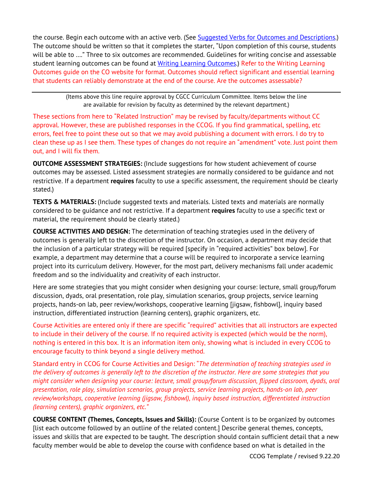the course. Begin each outcome with an active verb. (See [Suggested Verbs for Outcomes and Descriptions.\)](https://www.cgcc.edu/sites/default/files/curriculum/forms/Action-Verb-Lists12-12-13.pdf) The outcome should be written so that it completes the starter, "Upon completion of this course, students will be able to …." Three to six outcomes are recommended. Guidelines for writing concise and assessable student learning outcomes can be found at [Writing Learning Outcomes.](https://www.cgcc.edu/sites/default/files/curriculum/writing-learning-outcomes.pdf)) Refer to the Writing Learning Outcomes guide on the CO website for format. Outcomes should reflect significant and essential learning that students can reliably demonstrate at the end of the course. Are the outcomes assessable?

> (Items above this line require approval by CGCC Curriculum Committee. Items below the line are available for revision by faculty as determined by the relevant department.)

These sections from here to "Related Instruction" may be revised by faculty/departments without CC approval. However, these are published responses in the CCOG. If you find grammatical, spelling, etc errors, feel free to point these out so that we may avoid publishing a document with errors. I do try to clean these up as I see them. These types of changes do not require an "amendment" vote. Just point them out, and I will fix them.

**OUTCOME ASSESSMENT STRATEGIES:** (Include suggestions for how student achievement of course outcomes may be assessed. Listed assessment strategies are normally considered to be guidance and not restrictive. If a department **requires** faculty to use a specific assessment, the requirement should be clearly stated.)

**TEXTS & MATERIALS:** (Include suggested texts and materials. Listed texts and materials are normally considered to be guidance and not restrictive. If a department **requires** faculty to use a specific text or material, the requirement should be clearly stated.)

**COURSE ACTIVITIES AND DESIGN:** The determination of teaching strategies used in the delivery of outcomes is generally left to the discretion of the instructor. On occasion, a department may decide that the inclusion of a particular strategy will be required [specify in "required activities" box below]. For example, a department may determine that a course will be required to incorporate a service learning project into its curriculum delivery. However, for the most part, delivery mechanisms fall under academic freedom and so the individuality and creativity of each instructor.

Here are some strategies that you might consider when designing your course: lecture, small group/forum discussion, dyads, oral presentation, role play, simulation scenarios, group projects, service learning projects, hands-on lab, peer review/workshops, cooperative learning [jigsaw, fishbowl], inquiry based instruction, differentiated instruction (learning centers), graphic organizers, etc.

Course Activities are entered only if there are specific "required" activities that all instructors are expected to include in their delivery of the course. If no required activity is expected (which would be the norm), nothing is entered in this box. It is an information item only, showing what is included in every CCOG to encourage faculty to think beyond a single delivery method.

Standard entry in CCOG for Course Activities and Design: "*The determination of teaching strategies used in the delivery of outcomes is generally left to the discretion of the instructor. Here are some strategies that you might consider when designing your course: lecture, small group/forum discussion, flipped classroom, dyads, oral presentation, role play, simulation scenarios, group projects, service learning projects, hands-on lab, peer review/workshops, cooperative learning (jigsaw, fishbowl), inquiry based instruction, differentiated instruction (learning centers), graphic organizers, etc."*

**COURSE CONTENT (Themes, Concepts, Issues and Skills):** (Course Content is to be organized by outcomes [list each outcome followed by an outline of the related content.] Describe general themes, concepts, issues and skills that are expected to be taught. The description should contain sufficient detail that a new faculty member would be able to develop the course with confidence based on what is detailed in the